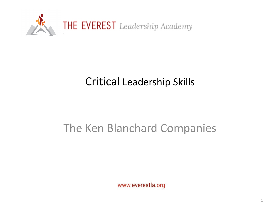

# Critical Leadership Skills

## The Ken Blanchard Companies

www.everestla.org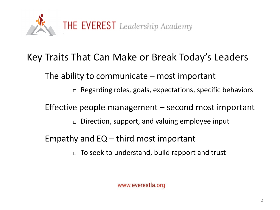

### Key Traits That Can Make or Break Today's Leaders

The ability to communicate – most important

 $\Box$  Regarding roles, goals, expectations, specific behaviors

Effective people management – second most important

 $\Box$  Direction, support, and valuing employee input

Empathy and  $EQ -$  third most important

 $\Box$  To seek to understand, build rapport and trust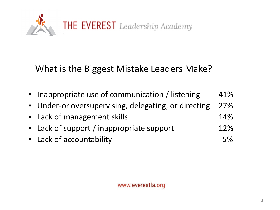

### What is the Biggest Mistake Leaders Make?

| • Inappropriate use of communication / listening     | 41%        |
|------------------------------------------------------|------------|
| • Under-or oversupervising, delegating, or directing | <b>27%</b> |
| • Lack of management skills                          | 14%        |
| • Lack of support / inappropriate support            | 12%        |
| • Lack of accountability                             | 5%         |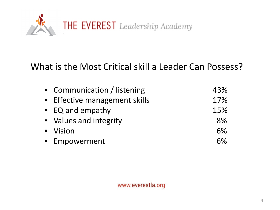

#### What is the Most Critical skill a Leader Can Possess?

| • Communication / listening        | 43% |
|------------------------------------|-----|
| <b>Effective management skills</b> | 17% |
| • EQ and empathy                   | 15% |
| • Values and integrity             | 8%  |
| • Vision                           | 6%  |
| <b>Empowerment</b>                 | 6%  |